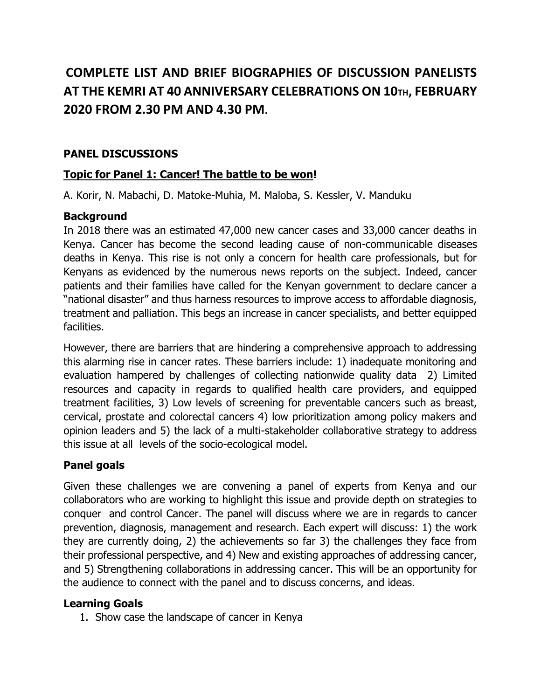# **COMPLETE LIST AND BRIEF BIOGRAPHIES OF DISCUSSION PANELISTS AT THE KEMRI AT 40 ANNIVERSARY CELEBRATIONS ON 10TH, FEBRUARY 2020 FROM 2.30 PM AND 4.30 PM.**

# **PANEL DISCUSSIONS**

# **Topic for Panel 1: Cancer! The battle to be won!**

A. Korir, N. Mabachi, D. Matoke-Muhia, M. Maloba, S. Kessler, V. Manduku

# **Background**

In 2018 there was an estimated 47,000 new cancer cases and 33,000 cancer deaths in Kenya. Cancer has become the second leading cause of non-communicable diseases deaths in Kenya. This rise is not only a concern for health care professionals, but for Kenyans as evidenced by the numerous news reports on the subject. Indeed, cancer patients and their families have called for the Kenyan government to declare cancer a "national disaster" and thus harness resources to improve access to affordable diagnosis, treatment and palliation. This begs an increase in cancer specialists, and better equipped facilities.

However, there are barriers that are hindering a comprehensive approach to addressing this alarming rise in cancer rates. These barriers include: 1) inadequate monitoring and evaluation hampered by challenges of collecting nationwide quality data 2) Limited resources and capacity in regards to qualified health care providers, and equipped treatment facilities, 3) Low levels of screening for preventable cancers such as breast, cervical, prostate and colorectal cancers 4) low prioritization among policy makers and opinion leaders and 5) the lack of a multi-stakeholder collaborative strategy to address this issue at all levels of the socio-ecological model.

# **Panel goals**

Given these challenges we are convening a panel of experts from Kenya and our collaborators who are working to highlight this issue and provide depth on strategies to conquer and control Cancer. The panel will discuss where we are in regards to cancer prevention, diagnosis, management and research. Each expert will discuss: 1) the work they are currently doing, 2) the achievements so far 3) the challenges they face from their professional perspective, and 4) New and existing approaches of addressing cancer, and 5) Strengthening collaborations in addressing cancer. This will be an opportunity for the audience to connect with the panel and to discuss concerns, and ideas.

### **Learning Goals**

1. Show case the landscape of cancer in Kenya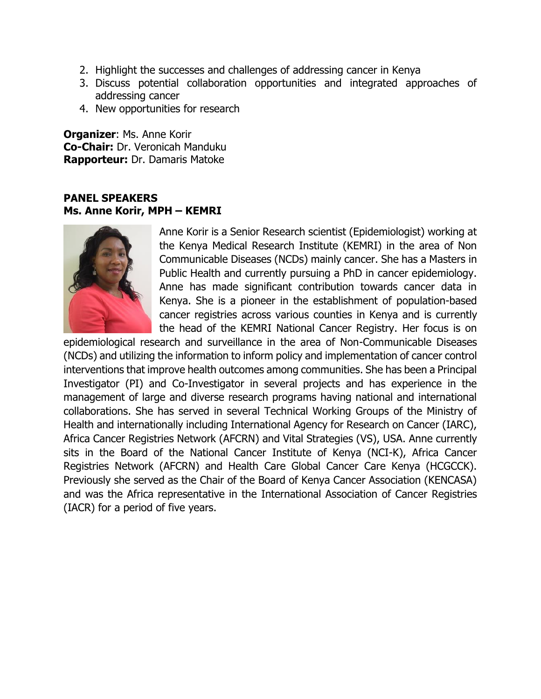- 2. Highlight the successes and challenges of addressing cancer in Kenya
- 3. Discuss potential collaboration opportunities and integrated approaches of addressing cancer
- 4. New opportunities for research

**Organizer**: Ms. Anne Korir **Co-Chair:** Dr. Veronicah Manduku **Rapporteur:** Dr. Damaris Matoke

#### **PANEL SPEAKERS Ms. Anne Korir, MPH – KEMRI**



Anne Korir is a Senior Research scientist (Epidemiologist) working at the Kenya Medical Research Institute (KEMRI) in the area of Non Communicable Diseases (NCDs) mainly cancer. She has a Masters in Public Health and currently pursuing a PhD in cancer epidemiology. Anne has made significant contribution towards cancer data in Kenya. She is a pioneer in the establishment of population-based cancer registries across various counties in Kenya and is currently the head of the KEMRI National Cancer Registry. Her focus is on

epidemiological research and surveillance in the area of Non-Communicable Diseases (NCDs) and utilizing the information to inform policy and implementation of cancer control interventions that improve health outcomes among communities. She has been a Principal Investigator (PI) and Co-Investigator in several projects and has experience in the management of large and diverse research programs having national and international collaborations. She has served in several Technical Working Groups of the Ministry of Health and internationally including International Agency for Research on Cancer (IARC), Africa Cancer Registries Network (AFCRN) and Vital Strategies (VS), USA. Anne currently sits in the Board of the National Cancer Institute of Kenya (NCI-K), Africa Cancer Registries Network (AFCRN) and Health Care Global Cancer Care Kenya (HCGCCK). Previously she served as the Chair of the Board of Kenya Cancer Association (KENCASA) and was the Africa representative in the International Association of Cancer Registries (IACR) for a period of five years.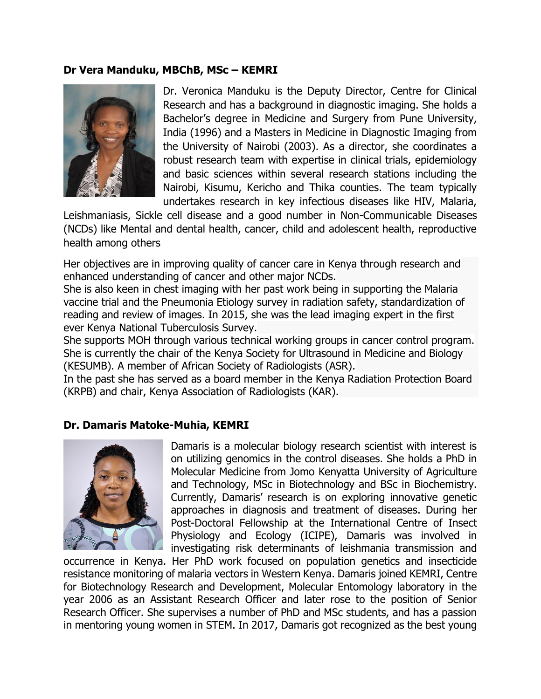#### **Dr Vera Manduku, MBChB, MSc – KEMRI**



Dr. Veronica Manduku is the Deputy Director, Centre for Clinical Research and has a background in diagnostic imaging. She holds a Bachelor's degree in Medicine and Surgery from Pune University, India (1996) and a Masters in Medicine in Diagnostic Imaging from the University of Nairobi (2003). As a director, she coordinates a robust research team with expertise in clinical trials, epidemiology and basic sciences within several research stations including the Nairobi, Kisumu, Kericho and Thika counties. The team typically undertakes research in key infectious diseases like HIV, Malaria,

Leishmaniasis, Sickle cell disease and a good number in Non-Communicable Diseases (NCDs) like Mental and dental health, cancer, child and adolescent health, reproductive health among others

Her objectives are in improving quality of cancer care in Kenya through research and enhanced understanding of cancer and other major NCDs.

She is also keen in chest imaging with her past work being in supporting the Malaria vaccine trial and the Pneumonia Etiology survey in radiation safety, standardization of reading and review of images. In 2015, she was the lead imaging expert in the first ever Kenya National Tuberculosis Survey.

She supports MOH through various technical working groups in cancer control program. She is currently the chair of the Kenya Society for Ultrasound in Medicine and Biology (KESUMB). A member of African Society of Radiologists (ASR).

In the past she has served as a board member in the Kenya Radiation Protection Board (KRPB) and chair, Kenya Association of Radiologists (KAR).

#### **Dr. Damaris Matoke-Muhia, KEMRI**



Damaris is a molecular biology research scientist with interest is on utilizing genomics in the control diseases. She holds a PhD in Molecular Medicine from Jomo Kenyatta University of Agriculture and Technology, MSc in Biotechnology and BSc in Biochemistry. Currently, Damaris' research is on exploring innovative genetic approaches in diagnosis and treatment of diseases. During her Post-Doctoral Fellowship at the International Centre of Insect Physiology and Ecology (ICIPE), Damaris was involved in investigating risk determinants of leishmania transmission and

occurrence in Kenya. Her PhD work focused on population genetics and insecticide resistance monitoring of malaria vectors in Western Kenya. Damaris joined KEMRI, Centre for Biotechnology Research and Development, Molecular Entomology laboratory in the year 2006 as an Assistant Research Officer and later rose to the position of Senior Research Officer. She supervises a number of PhD and MSc students, and has a passion in mentoring young women in STEM. In 2017, Damaris got recognized as the best young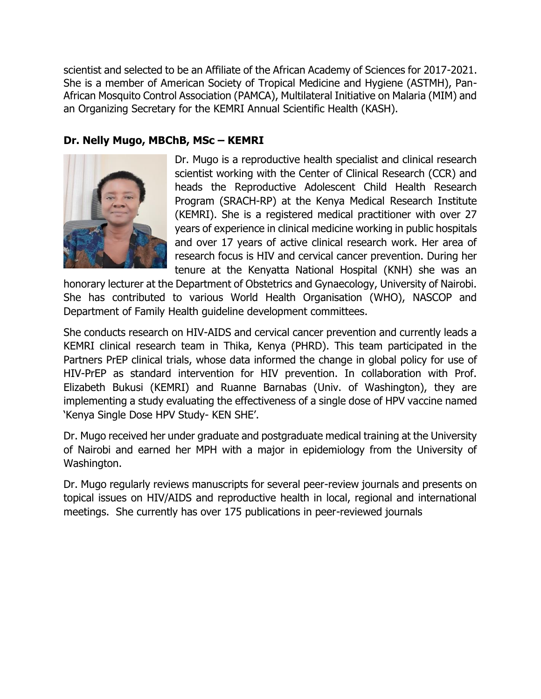scientist and selected to be an Affiliate of the African Academy of Sciences for 2017-2021. She is a member of American Society of Tropical Medicine and Hygiene (ASTMH), Pan-African Mosquito Control Association (PAMCA), Multilateral Initiative on Malaria (MIM) and an Organizing Secretary for the KEMRI Annual Scientific Health (KASH).

# **Dr. Nelly Mugo, MBChB, MSc – KEMRI**



Dr. Mugo is a reproductive health specialist and clinical research scientist working with the Center of Clinical Research (CCR) and heads the Reproductive Adolescent Child Health Research Program (SRACH-RP) at the Kenya Medical Research Institute (KEMRI). She is a registered medical practitioner with over 27 years of experience in clinical medicine working in public hospitals and over 17 years of active clinical research work. Her area of research focus is HIV and cervical cancer prevention. During her tenure at the Kenyatta National Hospital (KNH) she was an

honorary lecturer at the Department of Obstetrics and Gynaecology, University of Nairobi. She has contributed to various World Health Organisation (WHO), NASCOP and Department of Family Health guideline development committees.

She conducts research on HIV-AIDS and cervical cancer prevention and currently leads a KEMRI clinical research team in Thika, Kenya (PHRD). This team participated in the Partners PrEP clinical trials, whose data informed the change in global policy for use of HIV-PrEP as standard intervention for HIV prevention. In collaboration with Prof. Elizabeth Bukusi (KEMRI) and Ruanne Barnabas (Univ. of Washington), they are implementing a study evaluating the effectiveness of a single dose of HPV vaccine named 'Kenya Single Dose HPV Study- KEN SHE'.

Dr. Mugo received her under graduate and postgraduate medical training at the University of Nairobi and earned her MPH with a major in epidemiology from the University of Washington.

Dr. Mugo regularly reviews manuscripts for several peer-review journals and presents on topical issues on HIV/AIDS and reproductive health in local, regional and international meetings. She currently has over 175 publications in peer-reviewed journals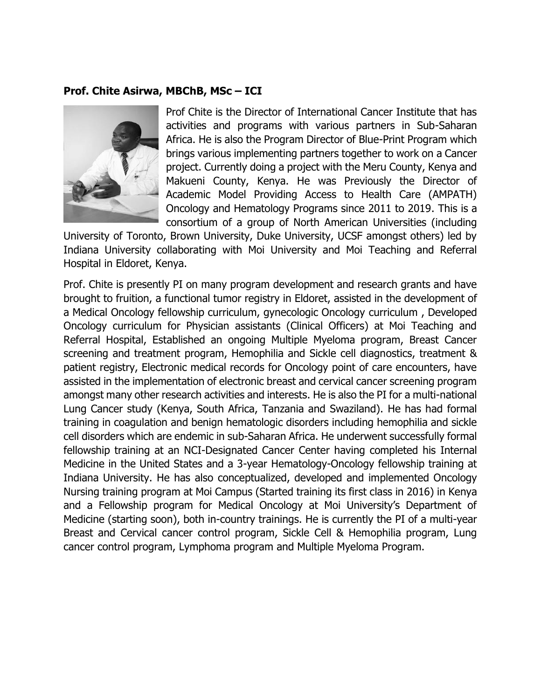#### **Prof. Chite Asirwa, MBChB, MSc – ICI**



Prof Chite is the Director of International Cancer Institute that has activities and programs with various partners in Sub-Saharan Africa. He is also the Program Director of Blue-Print Program which brings various implementing partners together to work on a Cancer project. Currently doing a project with the Meru County, Kenya and Makueni County, Kenya. He was Previously the Director of Academic Model Providing Access to Health Care (AMPATH) Oncology and Hematology Programs since 2011 to 2019. This is a consortium of a group of North American Universities (including

University of Toronto, Brown University, Duke University, UCSF amongst others) led by Indiana University collaborating with Moi University and Moi Teaching and Referral Hospital in Eldoret, Kenya.

Prof. Chite is presently PI on many program development and research grants and have brought to fruition, a functional tumor registry in Eldoret, assisted in the development of a Medical Oncology fellowship curriculum, gynecologic Oncology curriculum , Developed Oncology curriculum for Physician assistants (Clinical Officers) at Moi Teaching and Referral Hospital, Established an ongoing Multiple Myeloma program, Breast Cancer screening and treatment program, Hemophilia and Sickle cell diagnostics, treatment & patient registry, Electronic medical records for Oncology point of care encounters, have assisted in the implementation of electronic breast and cervical cancer screening program amongst many other research activities and interests. He is also the PI for a multi-national Lung Cancer study (Kenya, South Africa, Tanzania and Swaziland). He has had formal training in coagulation and benign hematologic disorders including hemophilia and sickle cell disorders which are endemic in sub-Saharan Africa. He underwent successfully formal fellowship training at an NCI-Designated Cancer Center having completed his Internal Medicine in the United States and a 3-year Hematology-Oncology fellowship training at Indiana University. He has also conceptualized, developed and implemented Oncology Nursing training program at Moi Campus (Started training its first class in 2016) in Kenya and a Fellowship program for Medical Oncology at Moi University's Department of Medicine (starting soon), both in-country trainings. He is currently the PI of a multi-year Breast and Cervical cancer control program, Sickle Cell & Hemophilia program, Lung cancer control program, Lymphoma program and Multiple Myeloma Program.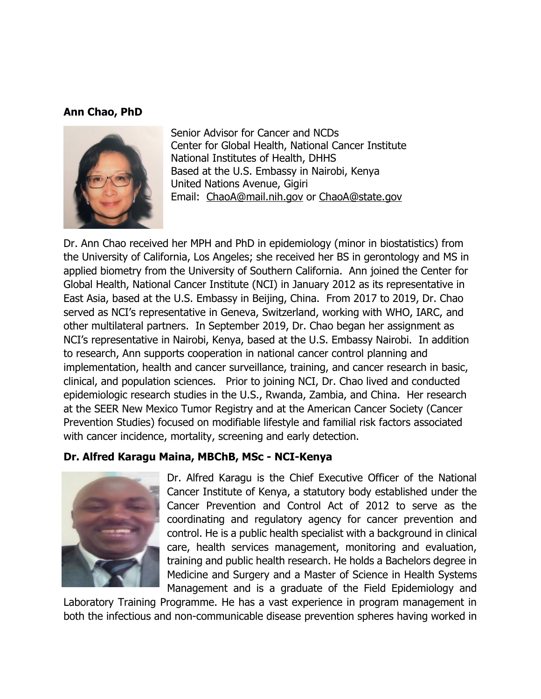#### **Ann Chao, PhD**



Senior Advisor for Cancer and NCDs Center for Global Health, National Cancer Institute National Institutes of Health, DHHS Based at the U.S. Embassy in Nairobi, Kenya United Nations Avenue, Gigiri Email: [ChaoA@mail.nih.gov](mailto:ChaoA@mail.nih.gov) or [ChaoA@state.gov](mailto:ChaoA@state.gov)

Dr. Ann Chao received her MPH and PhD in epidemiology (minor in biostatistics) from the University of California, Los Angeles; she received her BS in gerontology and MS in applied biometry from the University of Southern California. Ann joined the Center for Global Health, National Cancer Institute (NCI) in January 2012 as its representative in East Asia, based at the U.S. Embassy in Beijing, China. From 2017 to 2019, Dr. Chao served as NCI's representative in Geneva, Switzerland, working with WHO, IARC, and other multilateral partners. In September 2019, Dr. Chao began her assignment as NCI's representative in Nairobi, Kenya, based at the U.S. Embassy Nairobi. In addition to research, Ann supports cooperation in national cancer control planning and implementation, health and cancer surveillance, training, and cancer research in basic, clinical, and population sciences. Prior to joining NCI, Dr. Chao lived and conducted epidemiologic research studies in the U.S., Rwanda, Zambia, and China. Her research at the SEER New Mexico Tumor Registry and at the American Cancer Society (Cancer Prevention Studies) focused on modifiable lifestyle and familial risk factors associated with cancer incidence, mortality, screening and early detection.

#### **Dr. Alfred Karagu Maina, MBChB, MSc - NCI-Kenya**



Dr. Alfred Karagu is the Chief Executive Officer of the National Cancer Institute of Kenya, a statutory body established under the Cancer Prevention and Control Act of 2012 to serve as the coordinating and regulatory agency for cancer prevention and control. He is a public health specialist with a background in clinical care, health services management, monitoring and evaluation, training and public health research. He holds a Bachelors degree in Medicine and Surgery and a Master of Science in Health Systems Management and is a graduate of the Field Epidemiology and

Laboratory Training Programme. He has a vast experience in program management in both the infectious and non-communicable disease prevention spheres having worked in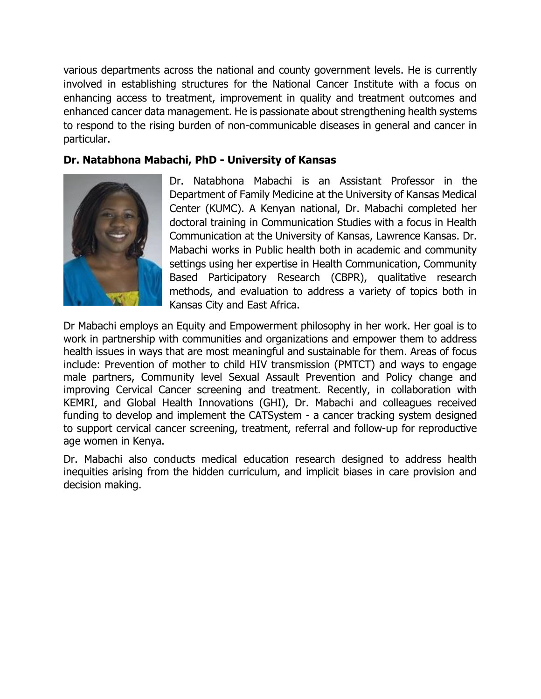various departments across the national and county government levels. He is currently involved in establishing structures for the National Cancer Institute with a focus on enhancing access to treatment, improvement in quality and treatment outcomes and enhanced cancer data management. He is passionate about strengthening health systems to respond to the rising burden of non-communicable diseases in general and cancer in particular.

# **Dr. Natabhona Mabachi, PhD - University of Kansas**



Dr. Natabhona Mabachi is an Assistant Professor in the Department of Family Medicine at the University of Kansas Medical Center (KUMC). A Kenyan national, Dr. Mabachi completed her doctoral training in Communication Studies with a focus in Health Communication at the University of Kansas, Lawrence Kansas. Dr. Mabachi works in Public health both in academic and community settings using her expertise in Health Communication, Community Based Participatory Research (CBPR), qualitative research methods, and evaluation to address a variety of topics both in Kansas City and East Africa.

Dr Mabachi employs an Equity and Empowerment philosophy in her work. Her goal is to work in partnership with communities and organizations and empower them to address health issues in ways that are most meaningful and sustainable for them. Areas of focus include: Prevention of mother to child HIV transmission (PMTCT) and ways to engage male partners, Community level Sexual Assault Prevention and Policy change and improving Cervical Cancer screening and treatment. Recently, in collaboration with KEMRI, and Global Health Innovations (GHI), Dr. Mabachi and colleagues received funding to develop and implement the CATSystem - a cancer tracking system designed to support cervical cancer screening, treatment, referral and follow-up for reproductive age women in Kenya.

Dr. Mabachi also conducts medical education research designed to address health inequities arising from the hidden curriculum, and implicit biases in care provision and decision making.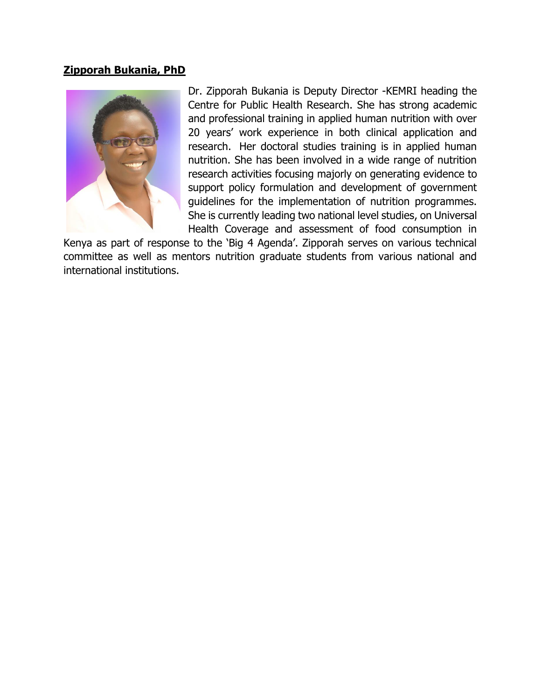### **Zipporah Bukania, PhD**



Dr. Zipporah Bukania is Deputy Director -KEMRI heading the Centre for Public Health Research. She has strong academic and professional training in applied human nutrition with over 20 years' work experience in both clinical application and research. Her doctoral studies training is in applied human nutrition. She has been involved in a wide range of nutrition research activities focusing majorly on generating evidence to support policy formulation and development of government guidelines for the implementation of nutrition programmes. She is currently leading two national level studies, on Universal Health Coverage and assessment of food consumption in

Kenya as part of response to the 'Big 4 Agenda'. Zipporah serves on various technical committee as well as mentors nutrition graduate students from various national and international institutions.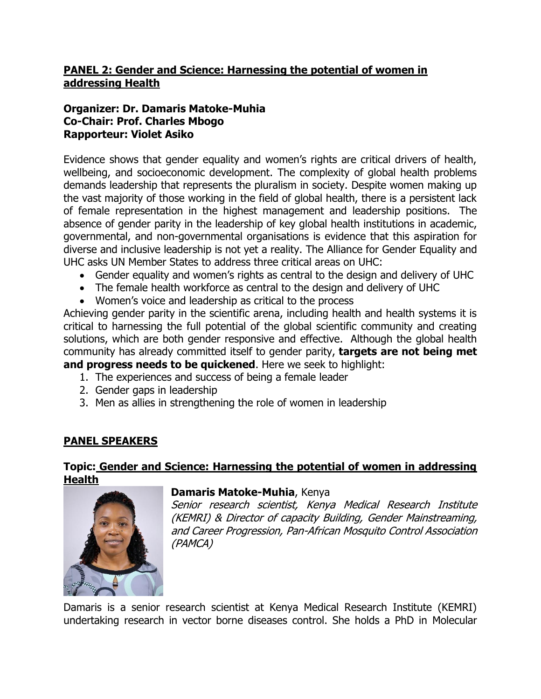# **PANEL 2: Gender and Science: Harnessing the potential of women in addressing Health**

# **Organizer: Dr. Damaris Matoke-Muhia Co-Chair: Prof. Charles Mbogo Rapporteur: Violet Asiko**

Evidence shows that gender equality and women's rights are critical drivers of health, wellbeing, and socioeconomic development. The complexity of global health problems demands leadership that represents the pluralism in society. Despite women making up the vast majority of those working in the field of global health, there is a persistent lack of female representation in the highest management and leadership positions. The absence of gender parity in the leadership of key global health institutions in academic, governmental, and non-governmental organisations is evidence that this aspiration for diverse and inclusive leadership is not yet a reality. The Alliance for Gender Equality and UHC asks UN Member States to address three critical areas on UHC:

- Gender equality and women's rights as central to the design and delivery of UHC
- The female health workforce as central to the design and delivery of UHC
- Women's voice and leadership as critical to the process

Achieving gender parity in the scientific arena, including health and health systems it is critical to harnessing the full potential of the global scientific community and creating solutions, which are both gender responsive and effective. Although the global health community has already committed itself to gender parity, **targets are not being met and progress needs to be quickened**. Here we seek to highlight:

- 1. The experiences and success of being a female leader
- 2. Gender gaps in leadership
- 3. Men as allies in strengthening the role of women in leadership

### **PANEL SPEAKERS**

#### **Topic: Gender and Science: Harnessing the potential of women in addressing Health**



#### **Damaris Matoke-Muhia**, Kenya

Senior research scientist, Kenya Medical Research Institute (KEMRI) & Director of capacity Building, Gender Mainstreaming, and Career Progression, Pan-African Mosquito Control Association (PAMCA)

Damaris is a senior research scientist at Kenya Medical Research Institute (KEMRI) undertaking research in vector borne diseases control. She holds a PhD in Molecular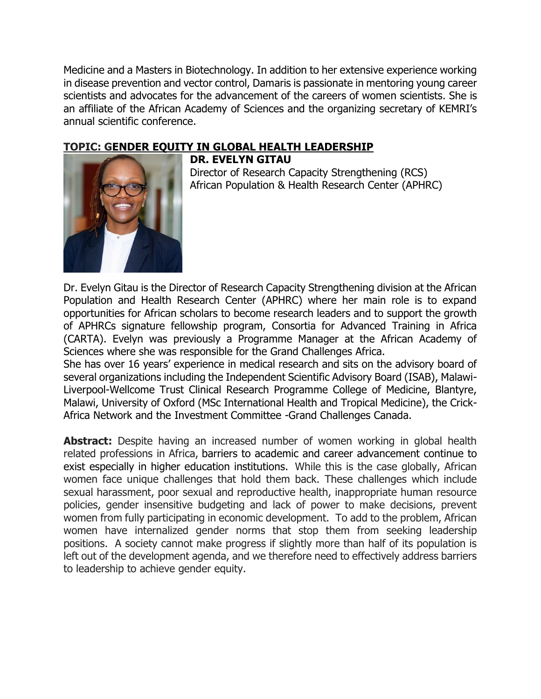Medicine and a Masters in Biotechnology. In addition to her extensive experience working in disease prevention and vector control, Damaris is passionate in mentoring young career scientists and advocates for the advancement of the careers of women scientists. She is an affiliate of the African Academy of Sciences and the organizing secretary of KEMRI's annual scientific conference.

# **TOPIC: GENDER EQUITY IN GLOBAL HEALTH LEADERSHIP**



**DR. EVELYN GITAU**

Director of Research Capacity Strengthening (RCS) African Population & Health Research Center (APHRC)

Dr. Evelyn Gitau is the Director of Research Capacity Strengthening division at the African Population and Health Research Center (APHRC) where her main role is to expand opportunities for African scholars to become research leaders and to support the growth of APHRCs signature fellowship program, Consortia for Advanced Training in Africa (CARTA). Evelyn was previously a Programme Manager at the African Academy of Sciences where she was responsible for the Grand Challenges Africa.

She has over 16 years' experience in medical research and sits on the advisory board of several organizations including the Independent Scientific Advisory Board (ISAB), Malawi-Liverpool-Wellcome Trust Clinical Research Programme College of Medicine, Blantyre, Malawi, University of Oxford (MSc International Health and Tropical Medicine), the Crick-Africa Network and the Investment Committee -Grand Challenges Canada.

**Abstract:** Despite having an increased number of women working in global health related professions in Africa, barriers to academic and career advancement continue to exist especially in higher education institutions. While this is the case globally, African women face unique challenges that hold them back. These challenges which include sexual harassment, poor sexual and reproductive health, inappropriate human resource policies, gender insensitive budgeting and lack of power to make decisions, prevent women from fully participating in economic development. To add to the problem, African women have internalized gender norms that stop them from seeking leadership positions. A society cannot make progress if slightly more than half of its population is left out of the development agenda, and we therefore need to effectively address barriers to leadership to achieve gender equity.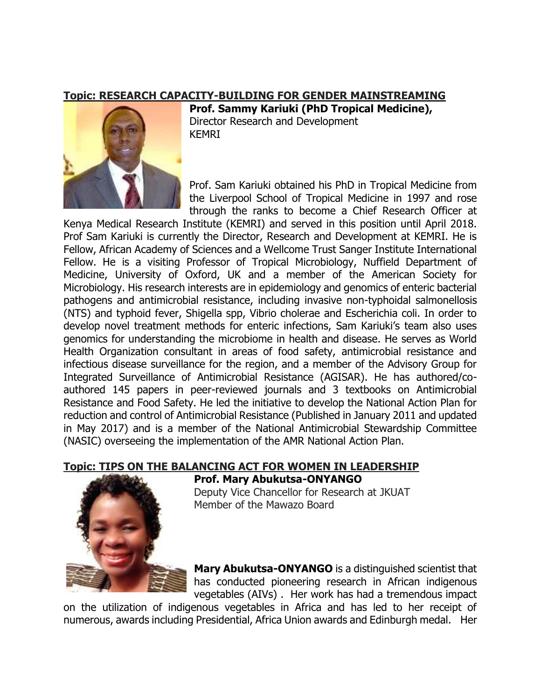#### **Topic: RESEARCH CAPACITY-BUILDING FOR GENDER MAINSTREAMING**



**Prof. Sammy Kariuki (PhD Tropical Medicine),** Director Research and Development KEMRI

Prof. Sam Kariuki obtained his PhD in Tropical Medicine from the Liverpool School of Tropical Medicine in 1997 and rose through the ranks to become a Chief Research Officer at

Kenya Medical Research Institute (KEMRI) and served in this position until April 2018. Prof Sam Kariuki is currently the Director, Research and Development at KEMRI. He is Fellow, African Academy of Sciences and a Wellcome Trust Sanger Institute International Fellow. He is a visiting Professor of Tropical Microbiology, Nuffield Department of Medicine, University of Oxford, UK and a member of the American Society for Microbiology. His research interests are in epidemiology and genomics of enteric bacterial pathogens and antimicrobial resistance, including invasive non-typhoidal salmonellosis (NTS) and typhoid fever, Shigella spp, Vibrio cholerae and Escherichia coli. In order to develop novel treatment methods for enteric infections, Sam Kariuki's team also uses genomics for understanding the microbiome in health and disease. He serves as World Health Organization consultant in areas of food safety, antimicrobial resistance and infectious disease surveillance for the region, and a member of the Advisory Group for Integrated Surveillance of Antimicrobial Resistance (AGISAR). He has authored/coauthored 145 papers in peer-reviewed journals and 3 textbooks on Antimicrobial Resistance and Food Safety. He led the initiative to develop the National Action Plan for reduction and control of Antimicrobial Resistance (Published in January 2011 and updated in May 2017) and is a member of the National Antimicrobial Stewardship Committee (NASIC) overseeing the implementation of the AMR National Action Plan.

### **Topic: TIPS ON THE BALANCING ACT FOR WOMEN IN LEADERSHIP**



**Prof. Mary Abukutsa-ONYANGO** Deputy Vice Chancellor for Research at JKUAT Member of the Mawazo Board

**Mary Abukutsa-ONYANGO** is a distinguished scientist that has conducted pioneering research in African indigenous vegetables (AIVs) . Her work has had a tremendous impact

on the utilization of indigenous vegetables in Africa and has led to her receipt of numerous, awards including Presidential, Africa Union awards and Edinburgh medal. Her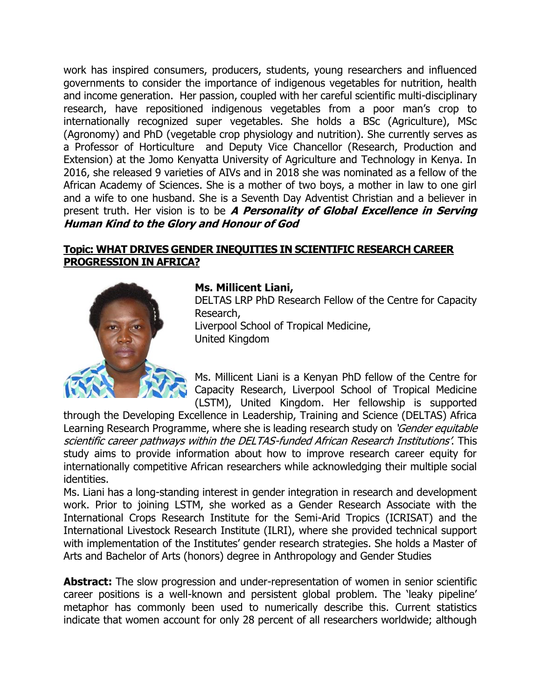work has inspired consumers, producers, students, young researchers and influenced governments to consider the importance of indigenous vegetables for nutrition, health and income generation. Her passion, coupled with her careful scientific multi-disciplinary research, have repositioned indigenous vegetables from a poor man's crop to internationally recognized super vegetables. She holds a BSc (Agriculture), MSc (Agronomy) and PhD (vegetable crop physiology and nutrition). She currently serves as a Professor of Horticulture and Deputy Vice Chancellor (Research, Production and Extension) at the Jomo Kenyatta University of Agriculture and Technology in Kenya. In 2016, she released 9 varieties of AIVs and in 2018 she was nominated as a fellow of the African Academy of Sciences. She is a mother of two boys, a mother in law to one girl and a wife to one husband. She is a Seventh Day Adventist Christian and a believer in present truth. Her vision is to be **A Personality of Global Excellence in Serving Human Kind to the Glory and Honour of God**

# **Topic: WHAT DRIVES GENDER INEQUITIES IN SCIENTIFIC RESEARCH CAREER PROGRESSION IN AFRICA?**



### **Ms. Millicent Liani,**

DELTAS LRP PhD Research Fellow of the Centre for Capacity Research, Liverpool School of Tropical Medicine,

United Kingdom

Ms. Millicent Liani is a Kenyan PhD fellow of the Centre for Capacity Research, Liverpool School of Tropical Medicine (LSTM), United Kingdom. Her fellowship is supported

through the Developing Excellence in Leadership, Training and Science (DELTAS) Africa Learning Research Programme, where she is leading research study on 'Gender equitable scientific career pathways within the DELTAS-funded African Research Institutions'. This study aims to provide information about how to improve research career equity for internationally competitive African researchers while acknowledging their multiple social identities.

Ms. Liani has a long-standing interest in gender integration in research and development work. Prior to joining LSTM, she worked as a Gender Research Associate with the International Crops Research Institute for the Semi-Arid Tropics (ICRISAT) and the International Livestock Research Institute (ILRI), where she provided technical support with implementation of the Institutes' gender research strategies. She holds a Master of Arts and Bachelor of Arts (honors) degree in Anthropology and Gender Studies

**Abstract:** The slow progression and under-representation of women in senior scientific career positions is a well-known and persistent global problem. The 'leaky pipeline' metaphor has commonly been used to numerically describe this. Current statistics indicate that women account for only 28 percent of all researchers worldwide; although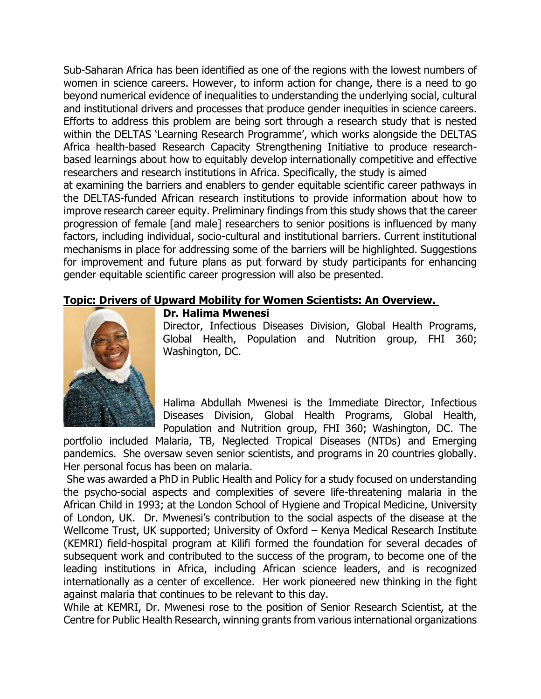Sub-Saharan Africa has been identified as one of the regions with the lowest numbers of women in science careers. However, to inform action for change, there is a need to go beyond numerical evidence of inequalities to understanding the underlying social, cultural and institutional drivers and processes that produce gender inequities in science careers. Efforts to address this problem are being sort through a research study that is nested within the DELTAS 'Learning Research Programme', which works alongside the DELTAS Africa health-based Research Capacity Strengthening Initiative to produce researchbased learnings about how to equitably develop internationally competitive and effective researchers and research institutions in Africa. Specifically, the study is aimed

at examining the barriers and enablers to gender equitable scientific career pathways in the DELTAS-funded African research institutions to provide information about how to improve research career equity. Preliminary findings from this study shows that the career progression of female [and male] researchers to senior positions is influenced by many factors, including individual, socio-cultural and institutional barriers. Current institutional mechanisms in place for addressing some of the barriers will be highlighted. Suggestions for improvement and future plans as put forward by study participants for enhancing gender equitable scientific career progression will also be presented.

### **Topic: Drivers of Upward Mobility for Women Scientists: An Overview.**



#### **Dr. Halima Mwenesi**

Director, Infectious Diseases Division, Global Health Programs, Global Health, Population and Nutrition group, FHI 360; Washington, DC.

Halima Abdullah Mwenesi is the Immediate Director, Infectious Diseases Division, Global Health Programs, Global Health, Population and Nutrition group, FHI 360; Washington, DC. The

portfolio included Malaria, TB, Neglected Tropical Diseases (NTDs) and Emerging pandemics. She oversaw seven senior scientists, and programs in 20 countries globally. Her personal focus has been on malaria.

She was awarded a PhD in Public Health and Policy for a study focused on understanding the psycho-social aspects and complexities of severe life-threatening malaria in the African Child in 1993; at the London School of Hygiene and Tropical Medicine, University of London, UK. Dr. Mwenesi's contribution to the social aspects of the disease at the Wellcome Trust, UK supported; University of Oxford – Kenya Medical Research Institute (KEMRI) field-hospital program at Kilifi formed the foundation for several decades of subsequent work and contributed to the success of the program, to become one of the leading institutions in Africa, including African science leaders, and is recognized internationally as a center of excellence. Her work pioneered new thinking in the fight against malaria that continues to be relevant to this day.

While at KEMRI, Dr. Mwenesi rose to the position of Senior Research Scientist, at the Centre for Public Health Research, winning grants from various international organizations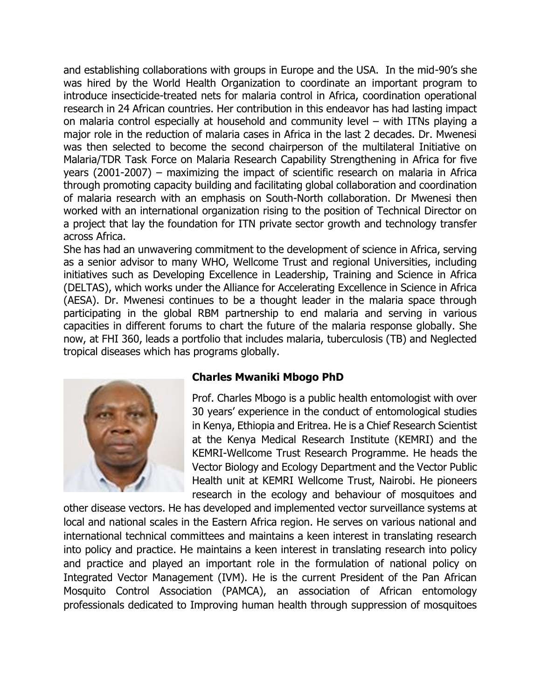and establishing collaborations with groups in Europe and the USA. In the mid-90's she was hired by the World Health Organization to coordinate an important program to introduce insecticide-treated nets for malaria control in Africa, coordination operational research in 24 African countries. Her contribution in this endeavor has had lasting impact on malaria control especially at household and community level – with ITNs playing a major role in the reduction of malaria cases in Africa in the last 2 decades. Dr. Mwenesi was then selected to become the second chairperson of the multilateral Initiative on Malaria/TDR Task Force on Malaria Research Capability Strengthening in Africa for five years (2001-2007) – maximizing the impact of scientific research on malaria in Africa through promoting capacity building and facilitating global collaboration and coordination of malaria research with an emphasis on South-North collaboration. Dr Mwenesi then worked with an international organization rising to the position of Technical Director on a project that lay the foundation for ITN private sector growth and technology transfer across Africa.

She has had an unwavering commitment to the development of science in Africa, serving as a senior advisor to many WHO, Wellcome Trust and regional Universities, including initiatives such as Developing Excellence in Leadership, Training and Science in Africa (DELTAS), which works under the Alliance for Accelerating Excellence in Science in Africa (AESA). Dr. Mwenesi continues to be a thought leader in the malaria space through participating in the global RBM partnership to end malaria and serving in various capacities in different forums to chart the future of the malaria response globally. She now, at FHI 360, leads a portfolio that includes malaria, tuberculosis (TB) and Neglected tropical diseases which has programs globally.



### **Charles Mwaniki Mbogo PhD**

Prof. Charles Mbogo is a public health entomologist with over 30 years' experience in the conduct of entomological studies in Kenya, Ethiopia and Eritrea. He is a Chief Research Scientist at the Kenya Medical Research Institute (KEMRI) and the KEMRI-Wellcome Trust Research Programme. He heads the Vector Biology and Ecology Department and the Vector Public Health unit at KEMRI Wellcome Trust, Nairobi. He pioneers research in the ecology and behaviour of mosquitoes and

other disease vectors. He has developed and implemented vector surveillance systems at local and national scales in the Eastern Africa region. He serves on various national and international technical committees and maintains a keen interest in translating research into policy and practice. He maintains a keen interest in translating research into policy and practice and played an important role in the formulation of national policy on Integrated Vector Management (IVM). He is the current President of the Pan African Mosquito Control Association (PAMCA), an association of African entomology professionals dedicated to Improving human health through suppression of mosquitoes